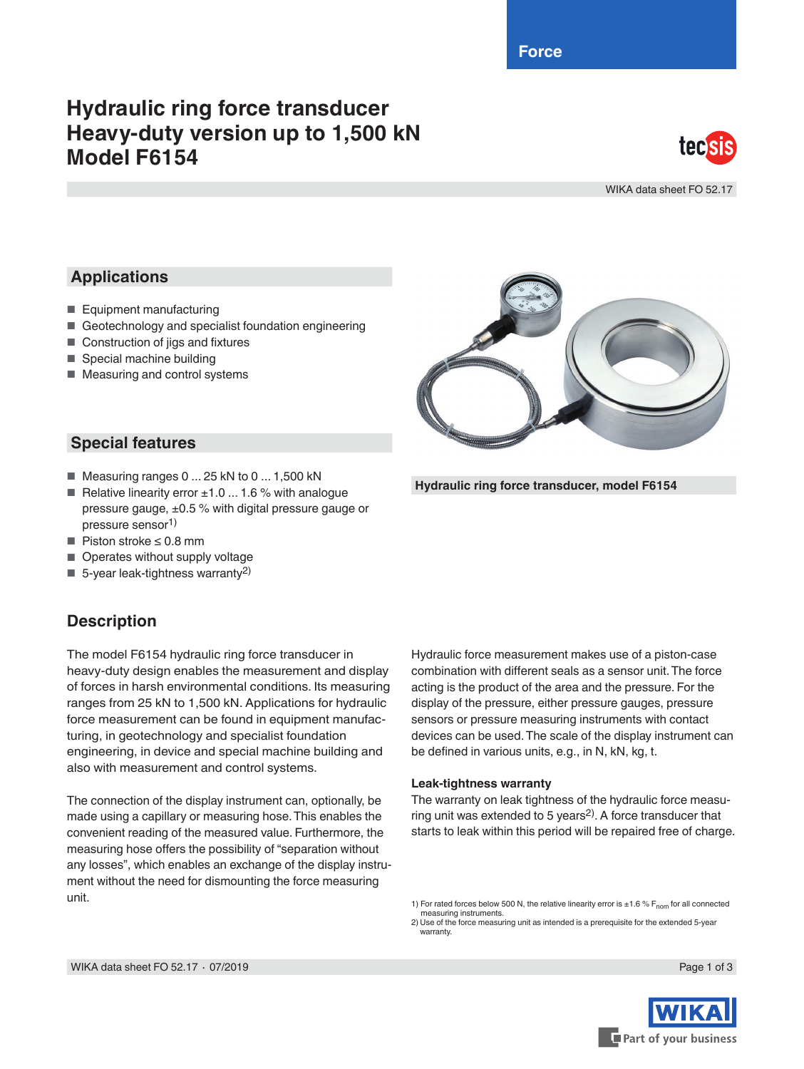**Force**

# **Hydraulic ring force transducer Heavy-duty version up to 1,500 kN Model F6154**



WIKA data sheet FO 52.17

## **Applications**

- Equipment manufacturing
- Geotechnology and specialist foundation engineering
- Construction of jigs and fixtures
- Special machine building
- Measuring and control systems



**Hydraulic ring force transducer, model F6154**

#### **Special features**

- $\blacksquare$  Measuring ranges 0 ... 25 kN to 0 ... 1,500 kN
- Relative linearity error  $±1.0$  ... 1.6 % with analogue pressure gauge,  $\pm 0.5$  % with digital pressure gauge or pressure sensor<sup>1)</sup>
- Piston stroke ≤ 0.8 mm
- Operates without supply voltage
- 5-year leak-tightness warranty<sup>2)</sup>

### **Description**

The model F6154 hydraulic ring force transducer in heavy-duty design enables the measurement and display of forces in harsh environmental conditions. Its measuring ranges from 25 kN to 1,500 kN. Applications for hydraulic force measurement can be found in equipment manufacturing, in geotechnology and specialist foundation engineering, in device and special machine building and also with measurement and control systems.

The connection of the display instrument can, optionally, be made using a capillary or measuring hose. This enables the convenient reading of the measured value. Furthermore, the measuring hose offers the possibility of "separation without any losses", which enables an exchange of the display instrument without the need for dismounting the force measuring unit.

Hydraulic force measurement makes use of a piston-case combination with different seals as a sensor unit. The force acting is the product of the area and the pressure. For the display of the pressure, either pressure gauges, pressure sensors or pressure measuring instruments with contact devices can be used. The scale of the display instrument can be defined in various units, e.g., in N, kN, kg, t.

#### **Leak-tightness warranty**

The warranty on leak tightness of the hydraulic force measuring unit was extended to 5 years2). A force transducer that starts to leak within this period will be repaired free of charge.

1) For rated forces below 500 N, the relative linearity error is  $\pm 1.6$  % F<sub>nom</sub> for all connected measuring instruments. 2) Use of the force measuring unit as intended is a prerequisite for the extended 5-year warranty

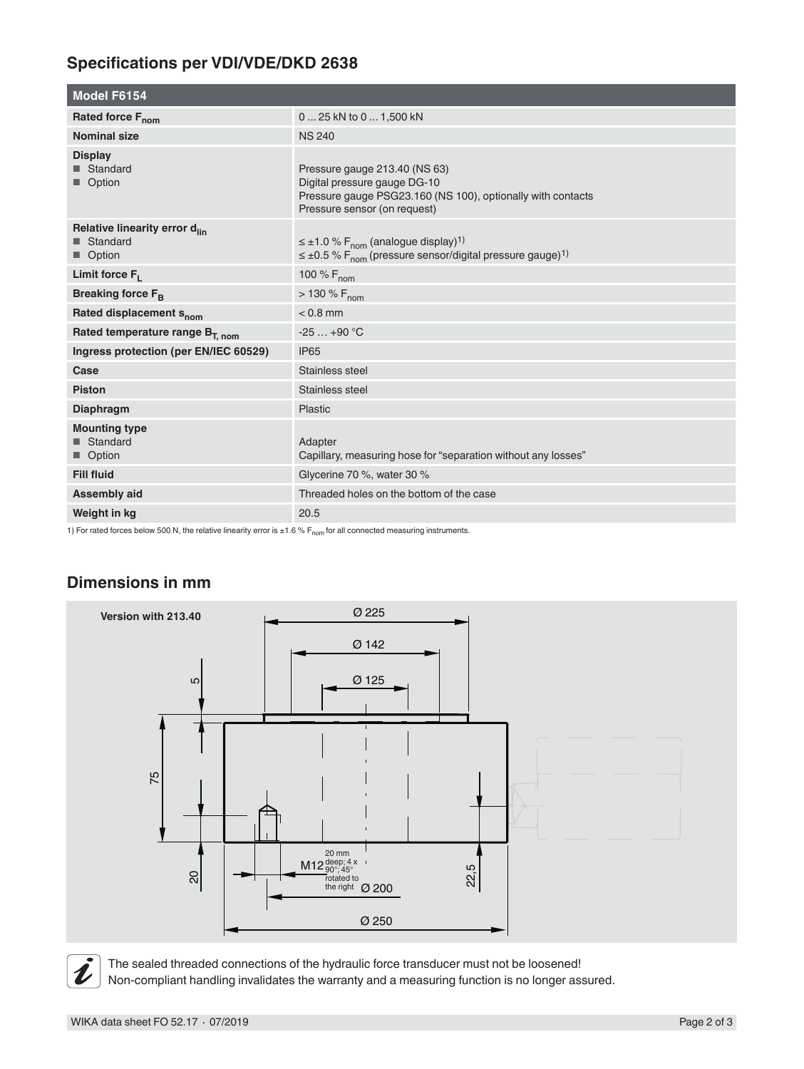# **Specifications per VDI/VDE/DKD 2638**

| <b>Model F6154</b>                                                  |                                                                                                                                                                |  |  |
|---------------------------------------------------------------------|----------------------------------------------------------------------------------------------------------------------------------------------------------------|--|--|
| Rated force F <sub>nom</sub>                                        | 0  25 kN to 0  1,500 kN                                                                                                                                        |  |  |
| <b>Nominal size</b>                                                 | <b>NS 240</b>                                                                                                                                                  |  |  |
| <b>Display</b><br>■ Standard<br>Option                              | Pressure gauge 213.40 (NS 63)<br>Digital pressure gauge DG-10<br>Pressure gauge PSG23.160 (NS 100), optionally with contacts<br>Pressure sensor (on request)   |  |  |
| Relative linearity error d <sub>lin</sub><br>■ Standard<br>■ Option | $\leq \pm 1.0$ % F <sub>nom</sub> (analogue display) <sup>1)</sup><br>$\leq \pm 0.5$ % F <sub>nom</sub> (pressure sensor/digital pressure gauge) <sup>1)</sup> |  |  |
| Limit force $F_L$                                                   | 100 % F <sub>nom</sub>                                                                                                                                         |  |  |
| Breaking force $F_{\rm B}$                                          | $> 130 \% F_{nom}$                                                                                                                                             |  |  |
| Rated displacement s <sub>nom</sub>                                 | $< 0.8$ mm                                                                                                                                                     |  |  |
| Rated temperature range B <sub>T, nom</sub>                         | $-25+90 °C$                                                                                                                                                    |  |  |
| Ingress protection (per EN/IEC 60529)                               | <b>IP65</b>                                                                                                                                                    |  |  |
| Case                                                                | Stainless steel                                                                                                                                                |  |  |
| <b>Piston</b>                                                       | Stainless steel                                                                                                                                                |  |  |
| <b>Diaphragm</b>                                                    | Plastic                                                                                                                                                        |  |  |
| <b>Mounting type</b><br>■ Standard<br>■ Option                      | Adapter<br>Capillary, measuring hose for "separation without any losses"                                                                                       |  |  |
| <b>Fill fluid</b>                                                   | Glycerine 70 %, water 30 %                                                                                                                                     |  |  |
| <b>Assembly aid</b>                                                 | Threaded holes on the bottom of the case                                                                                                                       |  |  |
| Weight in kg                                                        | 20.5                                                                                                                                                           |  |  |

1) For rated forces below 500 N, the relative linearity error is  $\pm 1.6$  % F<sub>nom</sub> for all connected measuring instruments.

### **Dimensions in mm**



The sealed threaded connections of the hydraulic force transducer must not be loosened! Non-compliant handling invalidates the warranty and a measuring function is no longer assured.

 $\tilde{\bm{\iota}}$